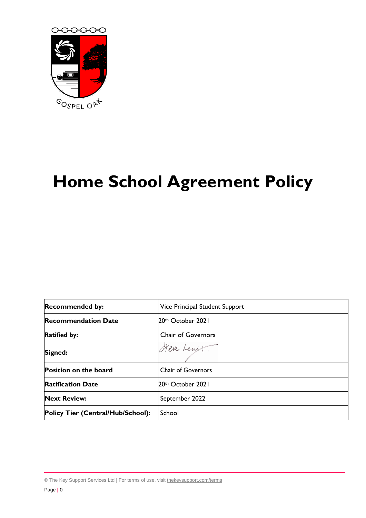

# **Home School Agreement Policy**

| <b>Recommended by:</b>            | Vice Principal Student Support |
|-----------------------------------|--------------------------------|
| <b>Recommendation Date</b>        | 20th October 2021              |
| <b>Ratified by:</b>               | Chair of Governors             |
| Signed:                           | Steve Lewit.                   |
| Position on the board             | <b>Chair of Governors</b>      |
| <b>Ratification Date</b>          | 20th October 2021              |
| <b>Next Review:</b>               | September 2022                 |
| Policy Tier (Central/Hub/School): | School                         |

<sup>©</sup> The Key Support Services Ltd | For terms of use, visit [thekeysupport.com/terms](https://thekeysupport.com/terms-of-use)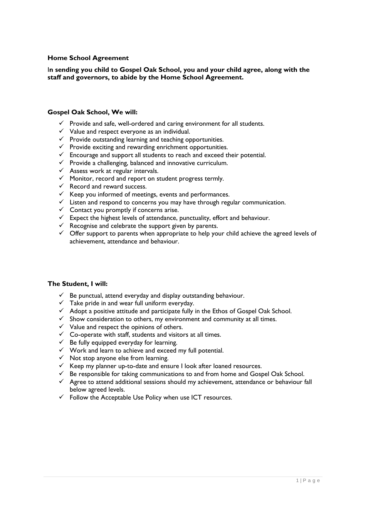## **Home School Agreement**

### I**n sending you child to Gospel Oak School, you and your child agree, along with the staff and governors, to abide by the Home School Agreement.**

#### **Gospel Oak School, We will:**

- $\checkmark$  Provide and safe, well-ordered and caring environment for all students.
- $\checkmark$  Value and respect everyone as an individual.
- $\checkmark$  Provide outstanding learning and teaching opportunities.
- $\checkmark$  Provide exciting and rewarding enrichment opportunities.
- $\checkmark$  Encourage and support all students to reach and exceed their potential.
- ✓ Provide a challenging, balanced and innovative curriculum.
- $\checkmark$  Assess work at regular intervals.
- $\checkmark$  Monitor, record and report on student progress termly.
- $\checkmark$  Record and reward success.
- $\checkmark$  Keep you informed of meetings, events and performances.
- $\checkmark$  Listen and respond to concerns you may have through regular communication.
- $\checkmark$  Contact you promptly if concerns arise.
- ✓ Expect the highest levels of attendance, punctuality, effort and behaviour.
- $\checkmark$  Recognise and celebrate the support given by parents.
- $\checkmark$  Offer support to parents when appropriate to help your child achieve the agreed levels of achievement, attendance and behaviour.

#### **The Student, I will:**

- $\checkmark$  Be punctual, attend everyday and display outstanding behaviour.
- $\checkmark$  Take pride in and wear full uniform everyday.
- ✓ Adopt a positive attitude and participate fully in the Ethos of Gospel Oak School.
- $\checkmark$  Show consideration to others, my environment and community at all times.
- $\checkmark$  Value and respect the opinions of others.
- $\checkmark$  Co-operate with staff, students and visitors at all times.
- $\checkmark$  Be fully equipped everyday for learning.
- ✓ Work and learn to achieve and exceed my full potential.
- $\checkmark$  Not stop anyone else from learning.
- $\checkmark$  Keep my planner up-to-date and ensure I look after loaned resources.
- $\checkmark$  Be responsible for taking communications to and from home and Gospel Oak School.
- $\checkmark$  Agree to attend additional sessions should my achievement, attendance or behaviour fall below agreed levels.
- $\checkmark$  Follow the Acceptable Use Policy when use ICT resources.